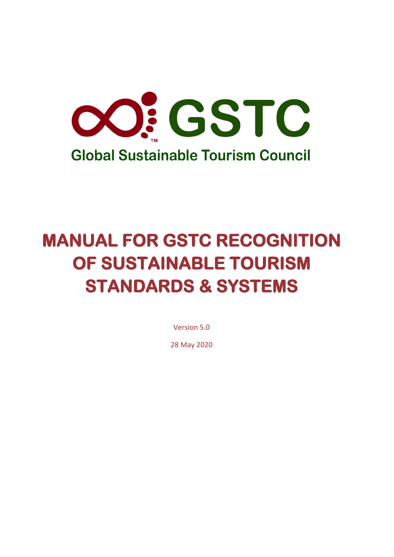

# **MANUAL FOR GSTC RECOGNITION OF SUSTAINABLE TOURISM STANDARDS & SYSTEMS**

Version 5.0

28 May 2020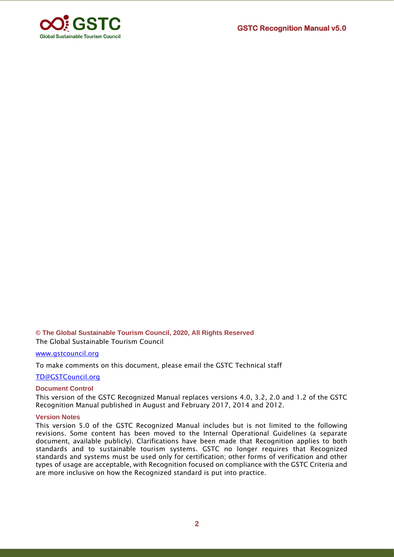

#### **© The Global Sustainable Tourism Council, 2020, All Rights Reserved** The Global Sustainable Tourism Council

[www.gstcouncil.org](http://www.gstcouncil.org/)

To make comments on this document, please email the GSTC Technical staff

[TD@GSTCouncil.org](mailto:recognized@GSTCouncil.org)

#### **Document Control**

This version of the GSTC Recognized Manual replaces versions 4.0, 3.2, 2.0 and 1.2 of the GSTC Recognition Manual published in August and February 2017, 2014 and 2012.

#### **Version Notes**

This version 5.0 of the GSTC Recognized Manual includes but is not limited to the following revisions. Some content has been moved to the Internal Operational Guidelines (a separate document, available publicly). Clarifications have been made that Recognition applies to both standards and to sustainable tourism systems. GSTC no longer requires that Recognized standards and systems must be used only for certification; other forms of verification and other types of usage are acceptable, with Recognition focused on compliance with the GSTC Criteria and are more inclusive on how the Recognized standard is put into practice.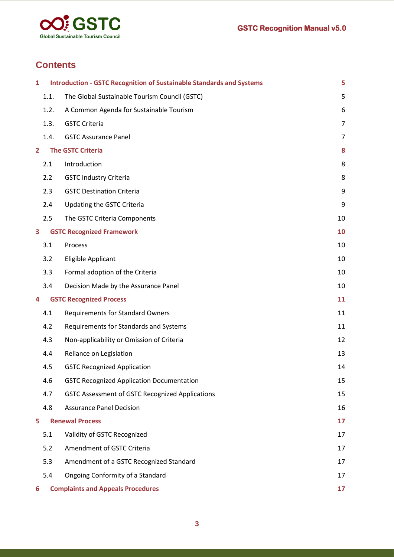

# **Contents**

| 1                       |      | <b>Introduction - GSTC Recognition of Sustainable Standards and Systems</b> | 5              |
|-------------------------|------|-----------------------------------------------------------------------------|----------------|
|                         | 1.1. | The Global Sustainable Tourism Council (GSTC)                               | 5              |
|                         | 1.2. | A Common Agenda for Sustainable Tourism                                     | 6              |
|                         | 1.3. | <b>GSTC Criteria</b>                                                        | $\overline{7}$ |
|                         | 1.4. | <b>GSTC Assurance Panel</b>                                                 | 7              |
| $\overline{\mathbf{2}}$ |      | <b>The GSTC Criteria</b>                                                    | 8              |
|                         | 2.1  | Introduction                                                                | 8              |
|                         | 2.2  | <b>GSTC Industry Criteria</b>                                               | 8              |
|                         | 2.3  | <b>GSTC Destination Criteria</b>                                            | 9              |
|                         | 2.4  | <b>Updating the GSTC Criteria</b>                                           | 9              |
|                         | 2.5  | The GSTC Criteria Components                                                | 10             |
| 3                       |      | <b>GSTC Recognized Framework</b>                                            | 10             |
|                         | 3.1  | Process                                                                     | 10             |
|                         | 3.2  | Eligible Applicant                                                          | 10             |
|                         | 3.3  | Formal adoption of the Criteria                                             | 10             |
|                         | 3.4  | Decision Made by the Assurance Panel                                        | 10             |
| 4                       |      | <b>GSTC Recognized Process</b>                                              | 11             |
|                         | 4.1  | <b>Requirements for Standard Owners</b>                                     | 11             |
|                         | 4.2  | Requirements for Standards and Systems                                      | 11             |
|                         | 4.3  | Non-applicability or Omission of Criteria                                   | 12             |
|                         | 4.4  | Reliance on Legislation                                                     | 13             |
|                         | 4.5  | <b>GSTC Recognized Application</b>                                          | 14             |
|                         | 4.6  | <b>GSTC Recognized Application Documentation</b>                            | 15             |
|                         | 4.7  | <b>GSTC Assessment of GSTC Recognized Applications</b>                      | 15             |
|                         | 4.8  | <b>Assurance Panel Decision</b>                                             | 16             |
| 5                       |      | <b>Renewal Process</b>                                                      | 17             |
|                         | 5.1  | Validity of GSTC Recognized                                                 | 17             |
|                         | 5.2  | Amendment of GSTC Criteria                                                  | 17             |
|                         | 5.3  | Amendment of a GSTC Recognized Standard                                     | 17             |
|                         | 5.4  | Ongoing Conformity of a Standard                                            | 17             |
| 6                       |      | <b>Complaints and Appeals Procedures</b>                                    | 17             |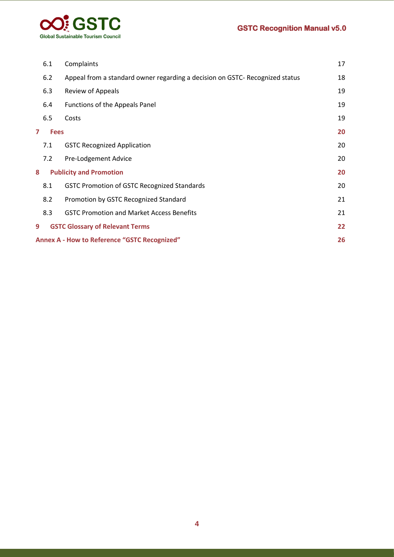

|                                     | 6.1                                                       | Complaints                                                                   | 17 |
|-------------------------------------|-----------------------------------------------------------|------------------------------------------------------------------------------|----|
|                                     | 6.2                                                       | Appeal from a standard owner regarding a decision on GSTC- Recognized status | 18 |
|                                     | 6.3                                                       | <b>Review of Appeals</b>                                                     | 19 |
|                                     | 6.4                                                       | Functions of the Appeals Panel                                               | 19 |
|                                     | 6.5                                                       | Costs                                                                        | 19 |
| 7                                   | <b>Fees</b>                                               |                                                                              | 20 |
|                                     | 7.1                                                       | <b>GSTC Recognized Application</b>                                           | 20 |
|                                     | 7.2                                                       | Pre-Lodgement Advice                                                         | 20 |
| <b>Publicity and Promotion</b><br>8 |                                                           | 20                                                                           |    |
|                                     | 8.1                                                       | <b>GSTC Promotion of GSTC Recognized Standards</b>                           | 20 |
|                                     | 8.2                                                       | Promotion by GSTC Recognized Standard                                        | 21 |
|                                     | 8.3                                                       | <b>GSTC Promotion and Market Access Benefits</b>                             | 21 |
| 9                                   |                                                           | <b>GSTC Glossary of Relevant Terms</b>                                       | 22 |
|                                     | 26<br><b>Annex A - How to Reference "GSTC Recognized"</b> |                                                                              |    |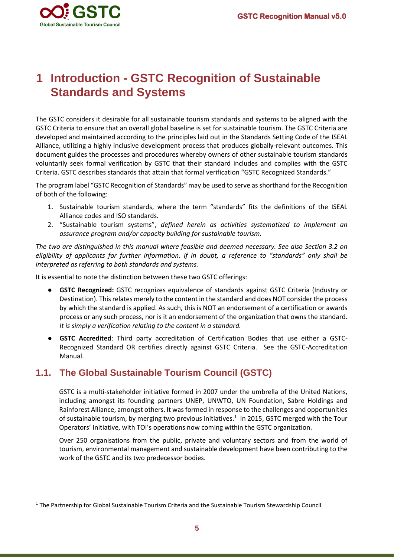

# <span id="page-4-0"></span>**1 Introduction - GSTC Recognition of Sustainable Standards and Systems**

The GSTC considers it desirable for all sustainable tourism standards and systems to be aligned with the GSTC Criteria to ensure that an overall global baseline is set for sustainable tourism. The GSTC Criteria are developed and maintained according to the principles laid out in the Standards Setting Code of the ISEAL Alliance, utilizing a highly inclusive development process that produces globally-relevant outcomes. This document guides the processes and procedures whereby owners of other sustainable tourism standards voluntarily seek formal verification by GSTC that their standard includes and complies with the GSTC Criteria. GSTC describes standards that attain that formal verification "GSTC Recognized Standards."

The program label "GSTC Recognition of Standards" may be used to serve as shorthand for the Recognition of both of the following:

- 1. Sustainable tourism standards, where the term "standards" fits the definitions of the ISEAL Alliance codes and ISO standards.
- 2. "Sustainable tourism systems", *defined herein as activities systematized to implement an assurance program and/or capacity building for sustainable tourism.*

*The two are distinguished in this manual where feasible and deemed necessary. See also Section 3.2 on eligibility of applicants for further information. If in doubt, a reference to "standards" only shall be interpreted as referring to both standards and systems.* 

It is essential to note the distinction between these two GSTC offerings:

- **GSTC Recognized:** GSTC recognizes equivalence of standards against GSTC Criteria (Industry or Destination). This relates merely to the content in the standard and does NOT consider the process by which the standard is applied. As such, this is NOT an endorsement of a certification or awards process or any such process, nor is it an endorsement of the organization that owns the standard. *It is simply a verification relating to the content in a standard.*
- **GSTC Accredited**: Third party accreditation of Certification Bodies that use either a GSTC-Recognized Standard OR certifies directly against GSTC Criteria. See the GSTC-Accreditation Manual.

#### <span id="page-4-1"></span>**1.1. The Global Sustainable Tourism Council (GSTC)**

GSTC is a multi-stakeholder initiative formed in 2007 under the umbrella of the United Nations, including amongst its founding partners UNEP, UNWTO, UN Foundation, Sabre Holdings and Rainforest Alliance, amongst others. It was formed in response to the challenges and opportunities of sustainable tourism, by merging two previous initiatives.<sup>1</sup> In 2015, GSTC merged with the Tour Operators' Initiative, with TOI's operations now coming within the GSTC organization.

Over 250 organisations from the public, private and voluntary sectors and from the world of tourism, environmental management and sustainable development have been contributing to the work of the GSTC and its two predecessor bodies.

<sup>&</sup>lt;sup>1</sup> The Partnership for Global Sustainable Tourism Criteria and the Sustainable Tourism Stewardship Council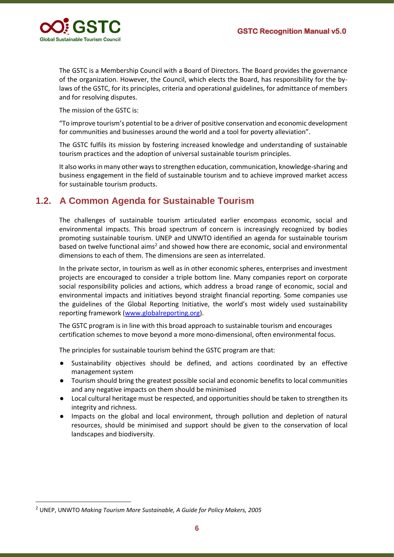

The GSTC is a Membership Council with a Board of Directors. The Board provides the governance of the organization. However, the Council, which elects the Board, has responsibility for the bylaws of the GSTC, for its principles, criteria and operational guidelines, for admittance of members and for resolving disputes.

The mission of the GSTC is:

"To improve tourism's potential to be a driver of positive conservation and economic development for communities and businesses around the world and a tool for poverty alleviation".

The GSTC fulfils its mission by fostering increased knowledge and understanding of sustainable tourism practices and the adoption of universal sustainable tourism principles.

It also works in many other ways to strengthen education, communication, knowledge-sharing and business engagement in the field of sustainable tourism and to achieve improved market access for sustainable tourism products.

### <span id="page-5-0"></span>**1.2. A Common Agenda for Sustainable Tourism**

The challenges of sustainable tourism articulated earlier encompass economic, social and environmental impacts. This broad spectrum of concern is increasingly recognized by bodies promoting sustainable tourism. UNEP and UNWTO identified an agenda for sustainable tourism based on twelve functional aims<sup>2</sup> and showed how there are economic, social and environmental dimensions to each of them. The dimensions are seen as interrelated.

In the private sector, in tourism as well as in other economic spheres, enterprises and investment projects are encouraged to consider a triple bottom line. Many companies report on corporate social responsibility policies and actions, which address a broad range of economic, social and environmental impacts and initiatives beyond straight financial reporting. Some companies use the guidelines of the Global Reporting Initiative, the world's most widely used sustainability reporting framework [\(www.globalreporting.org\)](http://www.globalreporting.org/).

The GSTC program is in line with this broad approach to sustainable tourism and encourages certification schemes to move beyond a more mono-dimensional, often environmental focus.

The principles for sustainable tourism behind the GSTC program are that:

- Sustainability objectives should be defined, and actions coordinated by an effective management system
- Tourism should bring the greatest possible social and economic benefits to local communities and any negative impacts on them should be minimised
- Local cultural heritage must be respected, and opportunities should be taken to strengthen its integrity and richness.
- Impacts on the global and local environment, through pollution and depletion of natural resources, should be minimised and support should be given to the conservation of local landscapes and biodiversity.

<sup>2</sup> UNEP, UNWTO *Making Tourism More Sustainable, A Guide for Policy Makers, 2005*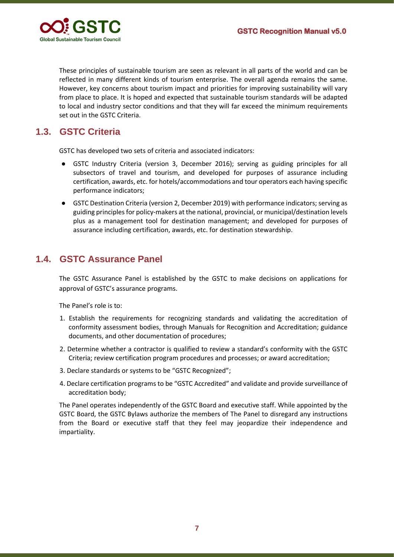

These principles of sustainable tourism are seen as relevant in all parts of the world and can be reflected in many different kinds of tourism enterprise. The overall agenda remains the same. However, key concerns about tourism impact and priorities for improving sustainability will vary from place to place. It is hoped and expected that sustainable tourism standards will be adapted to local and industry sector conditions and that they will far exceed the minimum requirements set out in the GSTC Criteria.

# <span id="page-6-0"></span>**1.3. GSTC Criteria**

GSTC has developed two sets of criteria and associated indicators:

- GSTC Industry Criteria (version 3, December 2016); serving as guiding principles for all subsectors of travel and tourism, and developed for purposes of assurance including certification, awards, etc. for hotels/accommodations and tour operators each having specific performance indicators;
- GSTC Destination Criteria (version 2, December 2019) with performance indicators; serving as guiding principles for policy-makers at the national, provincial, or municipal/destination levels plus as a management tool for destination management; and developed for purposes of assurance including certification, awards, etc. for destination stewardship.

# <span id="page-6-1"></span>**1.4. GSTC Assurance Panel**

The GSTC Assurance Panel is established by the GSTC to make decisions on applications for approval of GSTC's assurance programs.

The Panel's role is to:

- 1. Establish the requirements for recognizing standards and validating the accreditation of conformity assessment bodies, through Manuals for Recognition and Accreditation; guidance documents, and other documentation of procedures;
- 2. Determine whether a contractor is qualified to review a standard's conformity with the GSTC Criteria; review certification program procedures and processes; or award accreditation;
- 3. Declare standards or systems to be "GSTC Recognized";
- 4. Declare certification programs to be "GSTC Accredited" and validate and provide surveillance of accreditation body;

The Panel operates independently of the GSTC Board and executive staff. While appointed by the GSTC Board, the GSTC Bylaws authorize the members of The Panel to disregard any instructions from the Board or executive staff that they feel may jeopardize their independence and impartiality.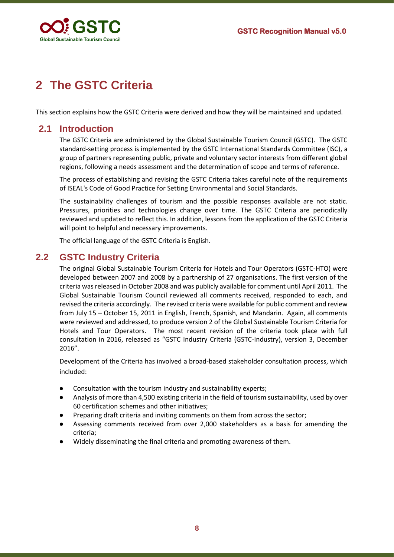

# <span id="page-7-0"></span>**2 The GSTC Criteria**

This section explains how the GSTC Criteria were derived and how they will be maintained and updated.

#### <span id="page-7-1"></span>**2.1 Introduction**

The GSTC Criteria are administered by the Global Sustainable Tourism Council (GSTC). The GSTC standard-setting process is implemented by the GSTC International Standards Committee (ISC), a group of partners representing public, private and voluntary sector interests from different global regions, following a needs assessment and the determination of scope and terms of reference.

The process of establishing and revising the GSTC Criteria takes careful note of the requirements of ISEAL's Code of Good Practice for Setting Environmental and Social Standards.

The sustainability challenges of tourism and the possible responses available are not static. Pressures, priorities and technologies change over time. The GSTC Criteria are periodically reviewed and updated to reflect this. In addition, lessons from the application of the GSTC Criteria will point to helpful and necessary improvements.

The official language of the GSTC Criteria is English.

### <span id="page-7-2"></span>**2.2 GSTC Industry Criteria**

The original Global Sustainable Tourism Criteria for Hotels and Tour Operators (GSTC-HTO) were developed between 2007 and 2008 by a partnership of 27 organisations. The first version of the criteria was released in October 2008 and was publicly available for comment until April 2011. The Global Sustainable Tourism Council reviewed all comments received, responded to each, and revised the criteria accordingly. The revised criteria were available for public comment and review from July 15 – October 15, 2011 in English, French, Spanish, and Mandarin. Again, all comments were reviewed and addressed, to produce version 2 of the Global Sustainable Tourism Criteria for Hotels and Tour Operators. The most recent revision of the criteria took place with full consultation in 2016, released as "GSTC Industry Criteria (GSTC-Industry), version 3, December 2016".

Development of the Criteria has involved a broad-based stakeholder consultation process, which included:

- Consultation with the tourism industry and sustainability experts;
- Analysis of more than 4,500 existing criteria in the field of tourism sustainability, used by over 60 certification schemes and other initiatives;
- Preparing draft criteria and inviting comments on them from across the sector;
- Assessing comments received from over 2,000 stakeholders as a basis for amending the criteria;
- Widely disseminating the final criteria and promoting awareness of them.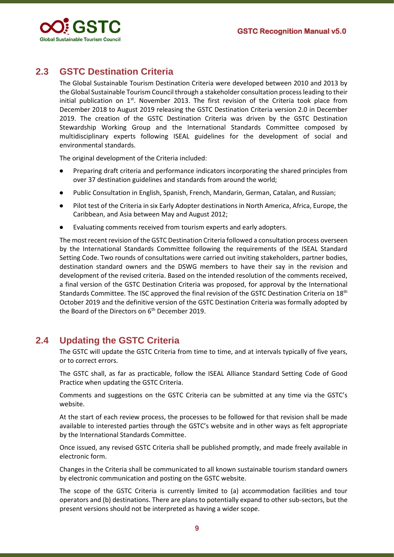

# <span id="page-8-0"></span>**2.3 GSTC Destination Criteria**

The Global Sustainable Tourism Destination Criteria were developed between 2010 and 2013 by the Global Sustainable Tourism Council through a stakeholder consultation process leading to their initial publication on  $1<sup>st</sup>$ . November 2013. The first revision of the Criteria took place from December 2018 to August 2019 releasing the GSTC Destination Criteria version 2.0 in December 2019. The creation of the GSTC Destination Criteria was driven by the GSTC Destination Stewardship Working Group and the International Standards Committee composed by multidisciplinary experts following ISEAL guidelines for the development of social and environmental standards.

The original development of the Criteria included:

- Preparing draft criteria and performance indicators incorporating the shared principles from over 37 destination guidelines and standards from around the world;
- Public Consultation in English, Spanish, French, Mandarin, German, Catalan, and Russian;
- Pilot test of the Criteria in six Early Adopter destinations in North America, Africa, Europe, the Caribbean, and Asia between May and August 2012;
- Evaluating comments received from tourism experts and early adopters.

The most recent revision of the GSTC Destination Criteria followed a consultation process overseen by the International Standards Committee following the requirements of the ISEAL Standard Setting Code. Two rounds of consultations were carried out inviting stakeholders, partner bodies, destination standard owners and the DSWG members to have their say in the revision and development of the revised criteria. Based on the intended resolution of the comments received, a final version of the GSTC Destination Criteria was proposed, for approval by the International Standards Committee. The ISC approved the final revision of the GSTC Destination Criteria on 18th October 2019 and the definitive version of the GSTC Destination Criteria was formally adopted by the Board of the Directors on 6<sup>th</sup> December 2019.

### <span id="page-8-1"></span>**2.4 Updating the GSTC Criteria**

The GSTC will update the GSTC Criteria from time to time, and at intervals typically of five years, or to correct errors.

The GSTC shall, as far as practicable, follow the ISEAL Alliance Standard Setting Code of Good Practice when updating the GSTC Criteria.

Comments and suggestions on the GSTC Criteria can be submitted at any time via the GSTC's website.

At the start of each review process, the processes to be followed for that revision shall be made available to interested parties through the GSTC's website and in other ways as felt appropriate by the International Standards Committee.

Once issued, any revised GSTC Criteria shall be published promptly, and made freely available in electronic form.

Changes in the Criteria shall be communicated to all known sustainable tourism standard owners by electronic communication and posting on the GSTC website.

The scope of the GSTC Criteria is currently limited to (a) accommodation facilities and tour operators and (b) destinations. There are plans to potentially expand to other sub-sectors, but the present versions should not be interpreted as having a wider scope.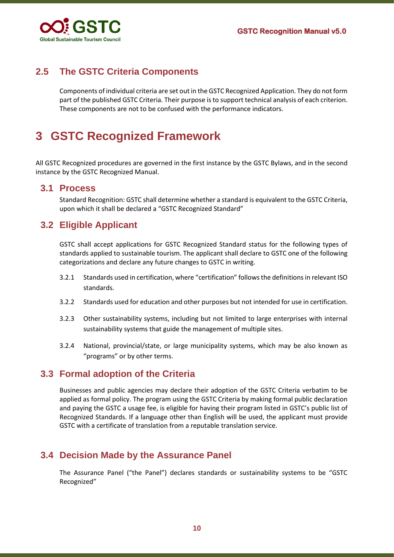

# <span id="page-9-0"></span>**2.5 The GSTC Criteria Components**

Components of individual criteria are set out in the GSTC Recognized Application. They do not form part of the published GSTC Criteria. Their purpose is to support technical analysis of each criterion. These components are not to be confused with the performance indicators.

# <span id="page-9-1"></span>**3 GSTC Recognized Framework**

All GSTC Recognized procedures are governed in the first instance by the GSTC Bylaws, and in the second instance by the GSTC Recognized Manual.

#### <span id="page-9-2"></span>**3.1 Process**

Standard Recognition: GSTC shall determine whether a standard is equivalent to the GSTC Criteria, upon which it shall be declared a "GSTC Recognized Standard"

### <span id="page-9-3"></span>**3.2 Eligible Applicant**

GSTC shall accept applications for GSTC Recognized Standard status for the following types of standards applied to sustainable tourism. The applicant shall declare to GSTC one of the following categorizations and declare any future changes to GSTC in writing.

- 3.2.1 Standards used in certification, where "certification" follows the definitions in relevant ISO standards.
- 3.2.2 Standards used for education and other purposes but not intended for use in certification.
- 3.2.3 Other sustainability systems, including but not limited to large enterprises with internal sustainability systems that guide the management of multiple sites.
- 3.2.4 National, provincial/state, or large municipality systems, which may be also known as "programs" or by other terms.

#### <span id="page-9-4"></span>**3.3 Formal adoption of the Criteria**

Businesses and public agencies may declare their adoption of the GSTC Criteria verbatim to be applied as formal policy. The program using the GSTC Criteria by making formal public declaration and paying the GSTC a usage fee, is eligible for having their program listed in GSTC's public list of Recognized Standards. If a language other than English will be used, the applicant must provide GSTC with a certificate of translation from a reputable translation service.

#### <span id="page-9-5"></span>**3.4 Decision Made by the Assurance Panel**

The Assurance Panel ("the Panel") declares standards or sustainability systems to be "GSTC Recognized"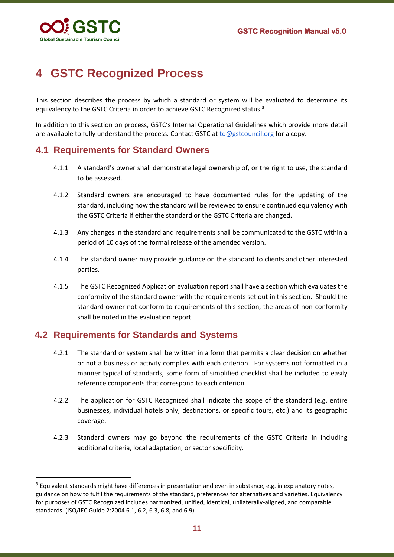

# <span id="page-10-0"></span>**4 GSTC Recognized Process**

This section describes the process by which a standard or system will be evaluated to determine its equivalency to the GSTC Criteria in order to achieve GSTC Recognized status.<sup>3</sup>

In addition to this section on process, GSTC's Internal Operational Guidelines which provide more detail are available to fully understand the process. Contact GSTC at [td@gstcouncil.org](mailto:td@gstcouncil.org) for a copy.

#### <span id="page-10-1"></span>**4.1 Requirements for Standard Owners**

- 4.1.1 A standard's owner shall demonstrate legal ownership of, or the right to use, the standard to be assessed.
- 4.1.2 Standard owners are encouraged to have documented rules for the updating of the standard, including how the standard will be reviewed to ensure continued equivalency with the GSTC Criteria if either the standard or the GSTC Criteria are changed.
- 4.1.3 Any changes in the standard and requirements shall be communicated to the GSTC within a period of 10 days of the formal release of the amended version.
- 4.1.4 The standard owner may provide guidance on the standard to clients and other interested parties.
- 4.1.5 The GSTC Recognized Application evaluation report shall have a section which evaluates the conformity of the standard owner with the requirements set out in this section. Should the standard owner not conform to requirements of this section, the areas of non-conformity shall be noted in the evaluation report.

#### <span id="page-10-2"></span>**4.2 Requirements for Standards and Systems**

- 4.2.1 The standard or system shall be written in a form that permits a clear decision on whether or not a business or activity complies with each criterion. For systems not formatted in a manner typical of standards, some form of simplified checklist shall be included to easily reference components that correspond to each criterion.
- 4.2.2 The application for GSTC Recognized shall indicate the scope of the standard (e.g. entire businesses, individual hotels only, destinations, or specific tours, etc.) and its geographic coverage.
- 4.2.3 Standard owners may go beyond the requirements of the GSTC Criteria in including additional criteria, local adaptation, or sector specificity.

<sup>&</sup>lt;sup>3</sup> Equivalent standards might have differences in presentation and even in substance, e.g. in explanatory notes, guidance on how to fulfil the requirements of the standard, preferences for alternatives and varieties. Equivalency for purposes of GSTC Recognized includes harmonized, unified, identical, unilaterally-aligned, and comparable standards. (ISO/IEC Guide 2:2004 6.1, 6.2, 6.3, 6.8, and 6.9)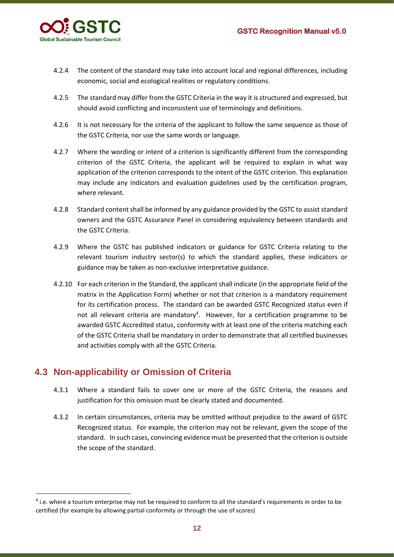

- 4.2.4 The content of the standard may take into account local and regional differences, including economic, social and ecological realities or regulatory conditions.
- 4.2.5 The standard may differ from the GSTC Criteria in the way it is structured and expressed, but should avoid conflicting and inconsistent use of terminology and definitions.
- 4.2.6 It is not necessary for the criteria of the applicant to follow the same sequence as those of the GSTC Criteria, nor use the same words or language.
- 4.2.7 Where the wording or intent of a criterion is significantly different from the corresponding criterion of the GSTC Criteria, the applicant will be required to explain in what way application of the criterion corresponds to the intent of the GSTC criterion. This explanation may include any indicators and evaluation guidelines used by the certification program, where relevant.
- 4.2.8 Standard content shall be informed by any guidance provided by the GSTC to assist standard owners and the GSTC Assurance Panel in considering equivalency between standards and the GSTC Criteria.
- 4.2.9 Where the GSTC has published indicators or guidance for GSTC Criteria relating to the relevant tourism industry sector(s) to which the standard applies, these indicators or guidance may be taken as non-exclusive interpretative guidance.
- 4.2.10 For each criterion in the Standard, the applicant shall indicate (in the appropriate field of the matrix in the Application Form) whether or not that criterion is a mandatory requirement for its certification process. The standard can be awarded GSTC Recognized status even if not all relevant criteria are mandatory<sup>4</sup>. However, for a certification programme to be awarded GSTC Accredited status, conformity with at least one of the criteria matching each of the GSTC Criteria shall be mandatory in order to demonstrate that all certified businesses and activities comply with all the GSTC Criteria.

### <span id="page-11-0"></span>**4.3 Non-applicability or Omission of Criteria**

- 4.3.1 Where a standard fails to cover one or more of the GSTC Criteria, the reasons and justification for this omission must be clearly stated and documented.
- 4.3.2 In certain circumstances, criteria may be omitted without prejudice to the award of GSTC Recognized status. For example, the criterion may not be relevant, given the scope of the standard. In such cases, convincing evidence must be presented that the criterion is outside the scope of the standard.

<sup>&</sup>lt;sup>4</sup> i.e. where a tourism enterprise may not be required to conform to all the standard's requirements in order to be certified (for example by allowing partial conformity or through the use of scores)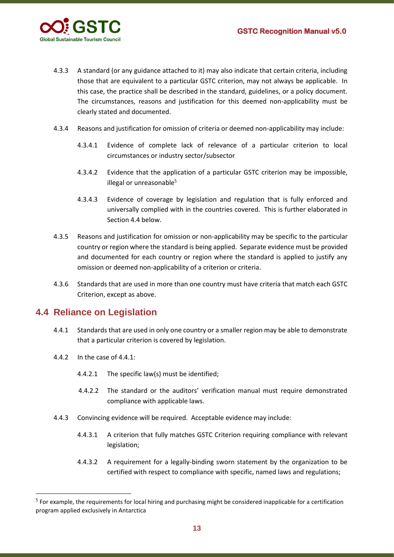

- 4.3.3 A standard (or any guidance attached to it) may also indicate that certain criteria, including those that are equivalent to a particular GSTC criterion, may not always be applicable. In this case, the practice shall be described in the standard, guidelines, or a policy document. The circumstances, reasons and justification for this deemed non-applicability must be clearly stated and documented.
- 4.3.4 Reasons and justification for omission of criteria or deemed non-applicability may include:
	- 4.3.4.1 Evidence of complete lack of relevance of a particular criterion to local circumstances or industry sector/subsector
	- 4.3.4.2 Evidence that the application of a particular GSTC criterion may be impossible, illegal or unreasonable<sup>5</sup>
	- 4.3.4.3 Evidence of coverage by legislation and regulation that is fully enforced and universally complied with in the countries covered. This is further elaborated in Section 4.4 below.
- 4.3.5 Reasons and justification for omission or non-applicability may be specific to the particular country or region where the standard is being applied. Separate evidence must be provided and documented for each country or region where the standard is applied to justify any omission or deemed non-applicability of a criterion or criteria.
- 4.3.6 Standards that are used in more than one country must have criteria that match each GSTC Criterion, except as above.

#### <span id="page-12-0"></span>**4.4 Reliance on Legislation**

- 4.4.1 Standards that are used in only one country or a smaller region may be able to demonstrate that a particular criterion is covered by legislation.
- 4.4.2 In the case of 4.4.1:
	- 4.4.2.1 The specific law(s) must be identified;
	- 4.4.2.2 The standard or the auditors' verification manual must require demonstrated compliance with applicable laws.
- 4.4.3 Convincing evidence will be required. Acceptable evidence may include:
	- 4.4.3.1 A criterion that fully matches GSTC Criterion requiring compliance with relevant legislation;
	- 4.4.3.2 A requirement for a legally-binding sworn statement by the organization to be certified with respect to compliance with specific, named laws and regulations;

<sup>&</sup>lt;sup>5</sup> For example, the requirements for local hiring and purchasing might be considered inapplicable for a certification program applied exclusively in Antarctica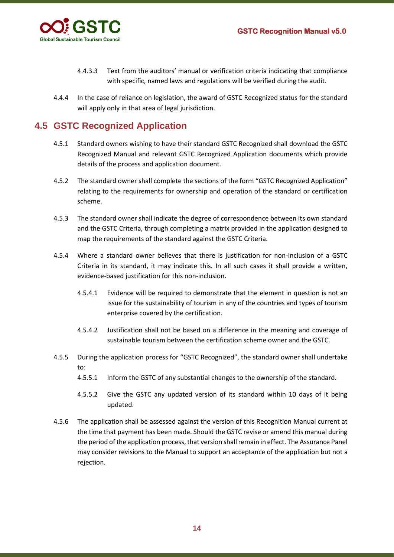

- 4.4.3.3 Text from the auditors' manual or verification criteria indicating that compliance with specific, named laws and regulations will be verified during the audit.
- 4.4.4 In the case of reliance on legislation, the award of GSTC Recognized status for the standard will apply only in that area of legal jurisdiction.

# <span id="page-13-0"></span>**4.5 GSTC Recognized Application**

- 4.5.1 Standard owners wishing to have their standard GSTC Recognized shall download the GSTC Recognized Manual and relevant GSTC Recognized Application documents which provide details of the process and application document.
- 4.5.2 The standard owner shall complete the sections of the form "GSTC Recognized Application" relating to the requirements for ownership and operation of the standard or certification scheme.
- 4.5.3 The standard owner shall indicate the degree of correspondence between its own standard and the GSTC Criteria, through completing a matrix provided in the application designed to map the requirements of the standard against the GSTC Criteria.
- 4.5.4 Where a standard owner believes that there is justification for non-inclusion of a GSTC Criteria in its standard, it may indicate this. In all such cases it shall provide a written, evidence-based justification for this non-inclusion.
	- 4.5.4.1 Evidence will be required to demonstrate that the element in question is not an issue for the sustainability of tourism in any of the countries and types of tourism enterprise covered by the certification.
	- 4.5.4.2 Justification shall not be based on a difference in the meaning and coverage of sustainable tourism between the certification scheme owner and the GSTC.
- 4.5.5 During the application process for "GSTC Recognized", the standard owner shall undertake to:
	- 4.5.5.1 Inform the GSTC of any substantial changes to the ownership of the standard.
	- 4.5.5.2 Give the GSTC any updated version of its standard within 10 days of it being updated.
- 4.5.6 The application shall be assessed against the version of this Recognition Manual current at the time that payment has been made. Should the GSTC revise or amend this manual during the period of the application process, that version shall remain in effect. The Assurance Panel may consider revisions to the Manual to support an acceptance of the application but not a rejection.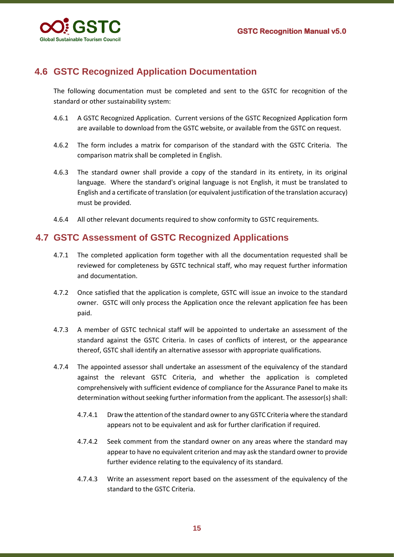

# <span id="page-14-0"></span>**4.6 GSTC Recognized Application Documentation**

The following documentation must be completed and sent to the GSTC for recognition of the standard or other sustainability system:

- 4.6.1 A GSTC Recognized Application. Current versions of the GSTC Recognized Application form are available to download from the GSTC website, or available from the GSTC on request.
- 4.6.2 The form includes a matrix for comparison of the standard with the GSTC Criteria. The comparison matrix shall be completed in English.
- 4.6.3 The standard owner shall provide a copy of the standard in its entirety, in its original language. Where the standard's original language is not English, it must be translated to English and a certificate of translation (or equivalent justification of the translation accuracy) must be provided.
- 4.6.4 All other relevant documents required to show conformity to GSTC requirements.

# <span id="page-14-1"></span>**4.7 GSTC Assessment of GSTC Recognized Applications**

- 4.7.1 The completed application form together with all the documentation requested shall be reviewed for completeness by GSTC technical staff, who may request further information and documentation.
- 4.7.2 Once satisfied that the application is complete, GSTC will issue an invoice to the standard owner. GSTC will only process the Application once the relevant application fee has been paid.
- 4.7.3 A member of GSTC technical staff will be appointed to undertake an assessment of the standard against the GSTC Criteria. In cases of conflicts of interest, or the appearance thereof, GSTC shall identify an alternative assessor with appropriate qualifications.
- 4.7.4 The appointed assessor shall undertake an assessment of the equivalency of the standard against the relevant GSTC Criteria, and whether the application is completed comprehensively with sufficient evidence of compliance for the Assurance Panel to make its determination without seeking further information from the applicant. The assessor(s) shall:
	- 4.7.4.1 Draw the attention of the standard owner to any GSTC Criteria where the standard appears not to be equivalent and ask for further clarification if required.
	- 4.7.4.2 Seek comment from the standard owner on any areas where the standard may appear to have no equivalent criterion and may ask the standard owner to provide further evidence relating to the equivalency of its standard.
	- 4.7.4.3 Write an assessment report based on the assessment of the equivalency of the standard to the GSTC Criteria.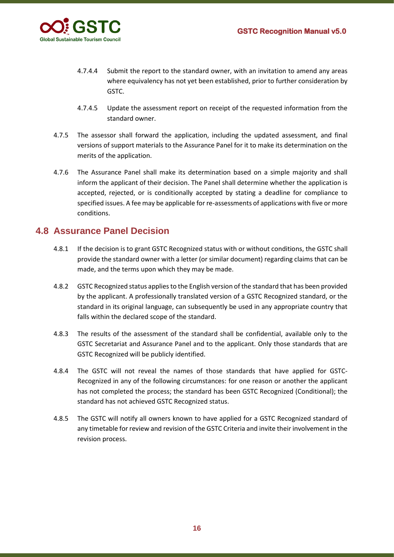

- 4.7.4.4 Submit the report to the standard owner, with an invitation to amend any areas where equivalency has not yet been established, prior to further consideration by GSTC.
- 4.7.4.5 Update the assessment report on receipt of the requested information from the standard owner.
- 4.7.5 The assessor shall forward the application, including the updated assessment, and final versions of support materials to the Assurance Panel for it to make its determination on the merits of the application.
- 4.7.6 The Assurance Panel shall make its determination based on a simple majority and shall inform the applicant of their decision. The Panel shall determine whether the application is accepted, rejected, or is conditionally accepted by stating a deadline for compliance to specified issues. A fee may be applicable for re-assessments of applications with five or more conditions.

#### <span id="page-15-0"></span>**4.8 Assurance Panel Decision**

- 4.8.1 If the decision is to grant GSTC Recognized status with or without conditions, the GSTC shall provide the standard owner with a letter (or similar document) regarding claims that can be made, and the terms upon which they may be made.
- 4.8.2 GSTC Recognized status applies to the English version of the standard that has been provided by the applicant. A professionally translated version of a GSTC Recognized standard, or the standard in its original language, can subsequently be used in any appropriate country that falls within the declared scope of the standard.
- 4.8.3 The results of the assessment of the standard shall be confidential, available only to the GSTC Secretariat and Assurance Panel and to the applicant. Only those standards that are GSTC Recognized will be publicly identified.
- 4.8.4 The GSTC will not reveal the names of those standards that have applied for GSTC-Recognized in any of the following circumstances: for one reason or another the applicant has not completed the process; the standard has been GSTC Recognized (Conditional); the standard has not achieved GSTC Recognized status.
- 4.8.5 The GSTC will notify all owners known to have applied for a GSTC Recognized standard of any timetable for review and revision of the GSTC Criteria and invite their involvement in the revision process.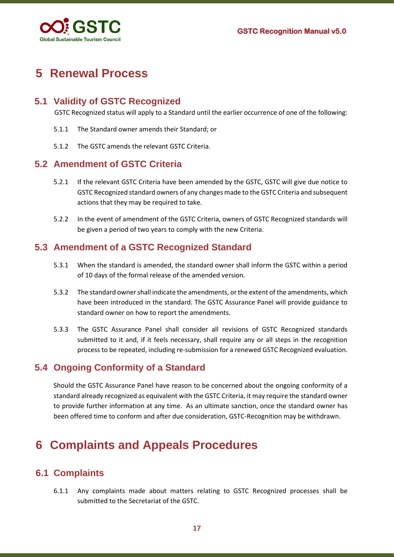

# <span id="page-16-0"></span>**5 Renewal Process**

### <span id="page-16-1"></span>**5.1 Validity of GSTC Recognized**

GSTC Recognized status will apply to a Standard until the earlier occurrence of one of the following:

- 5.1.1 The Standard owner amends their Standard; or
- 5.1.2 The GSTC amends the relevant GSTC Criteria.

#### <span id="page-16-2"></span>**5.2 Amendment of GSTC Criteria**

- 5.2.1 If the relevant GSTC Criteria have been amended by the GSTC, GSTC will give due notice to GSTC Recognized standard owners of any changes made to the GSTC Criteria and subsequent actions that they may be required to take.
- 5.2.2 In the event of amendment of the GSTC Criteria, owners of GSTC Recognized standards will be given a period of two years to comply with the new Criteria.

#### <span id="page-16-3"></span>**5.3 Amendment of a GSTC Recognized Standard**

- 5.3.1 When the standard is amended, the standard owner shall inform the GSTC within a period of 10 days of the formal release of the amended version.
- 5.3.2 The standard owner shall indicate the amendments, or the extent of the amendments, which have been introduced in the standard. The GSTC Assurance Panel will provide guidance to standard owner on how to report the amendments.
- 5.3.3 The GSTC Assurance Panel shall consider all revisions of GSTC Recognized standards submitted to it and, if it feels necessary, shall require any or all steps in the recognition process to be repeated, including re-submission for a renewed GSTC Recognized evaluation.

### <span id="page-16-4"></span>**5.4 Ongoing Conformity of a Standard**

Should the GSTC Assurance Panel have reason to be concerned about the ongoing conformity of a standard already recognized as equivalent with the GSTC Criteria, it may require the standard owner to provide further information at any time. As an ultimate sanction, once the standard owner has been offered time to conform and after due consideration, GSTC-Recognition may be withdrawn.

# <span id="page-16-5"></span>**6 Complaints and Appeals Procedures**

### <span id="page-16-6"></span>**6.1 Complaints**

6.1.1 Any complaints made about matters relating to GSTC Recognized processes shall be submitted to the Secretariat of the GSTC.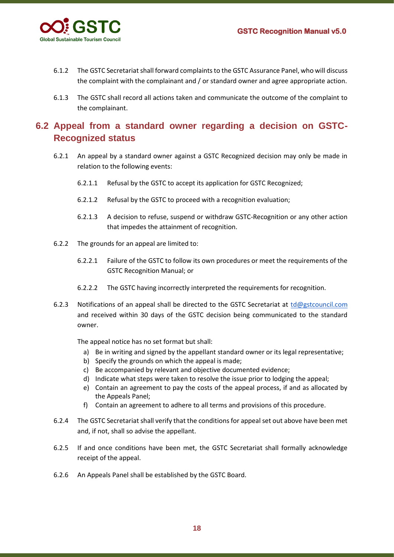

- 6.1.2 The GSTC Secretariat shall forward complaints to the GSTC Assurance Panel, who will discuss the complaint with the complainant and / or standard owner and agree appropriate action.
- 6.1.3 The GSTC shall record all actions taken and communicate the outcome of the complaint to the complainant.

### <span id="page-17-0"></span>**6.2 Appeal from a standard owner regarding a decision on GSTC-Recognized status**

- 6.2.1 An appeal by a standard owner against a GSTC Recognized decision may only be made in relation to the following events:
	- 6.2.1.1 Refusal by the GSTC to accept its application for GSTC Recognized;
	- 6.2.1.2 Refusal by the GSTC to proceed with a recognition evaluation;
	- 6.2.1.3 A decision to refuse, suspend or withdraw GSTC-Recognition or any other action that impedes the attainment of recognition.
- 6.2.2 The grounds for an appeal are limited to:
	- 6.2.2.1 Failure of the GSTC to follow its own procedures or meet the requirements of the GSTC Recognition Manual; or
	- 6.2.2.2 The GSTC having incorrectly interpreted the requirements for recognition.
- 6.2.3 Notifications of an appeal shall be directed to the GSTC Secretariat at  $td\omega$  gstcouncil.com and received within 30 days of the GSTC decision being communicated to the standard owner.

The appeal notice has no set format but shall:

- a) Be in writing and signed by the appellant standard owner or its legal representative;
- b) Specify the grounds on which the appeal is made;
- c) Be accompanied by relevant and objective documented evidence;
- d) Indicate what steps were taken to resolve the issue prior to lodging the appeal;
- e) Contain an agreement to pay the costs of the appeal process, if and as allocated by the Appeals Panel;
- f) Contain an agreement to adhere to all terms and provisions of this procedure.
- 6.2.4 The GSTC Secretariat shall verify that the conditions for appeal set out above have been met and, if not, shall so advise the appellant.
- 6.2.5 If and once conditions have been met, the GSTC Secretariat shall formally acknowledge receipt of the appeal.
- 6.2.6 An Appeals Panel shall be established by the GSTC Board.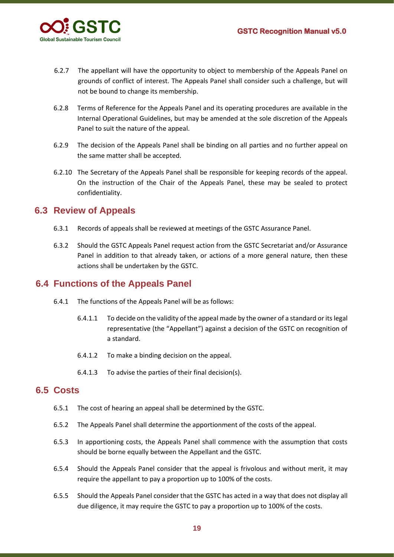

- 6.2.7 The appellant will have the opportunity to object to membership of the Appeals Panel on grounds of conflict of interest. The Appeals Panel shall consider such a challenge, but will not be bound to change its membership.
- 6.2.8 Terms of Reference for the Appeals Panel and its operating procedures are available in the Internal Operational Guidelines, but may be amended at the sole discretion of the Appeals Panel to suit the nature of the appeal.
- 6.2.9 The decision of the Appeals Panel shall be binding on all parties and no further appeal on the same matter shall be accepted.
- 6.2.10 The Secretary of the Appeals Panel shall be responsible for keeping records of the appeal. On the instruction of the Chair of the Appeals Panel, these may be sealed to protect confidentiality.

#### <span id="page-18-0"></span>**6.3 Review of Appeals**

- 6.3.1 Records of appeals shall be reviewed at meetings of the GSTC Assurance Panel.
- 6.3.2 Should the GSTC Appeals Panel request action from the GSTC Secretariat and/or Assurance Panel in addition to that already taken, or actions of a more general nature, then these actions shall be undertaken by the GSTC.

#### <span id="page-18-1"></span>**6.4 Functions of the Appeals Panel**

- 6.4.1 The functions of the Appeals Panel will be as follows:
	- 6.4.1.1 To decide on the validity of the appeal made by the owner of a standard or its legal representative (the "Appellant") against a decision of the GSTC on recognition of a standard.
	- 6.4.1.2 To make a binding decision on the appeal.
	- 6.4.1.3 To advise the parties of their final decision(s).

#### <span id="page-18-2"></span>**6.5 Costs**

- 6.5.1 The cost of hearing an appeal shall be determined by the GSTC.
- 6.5.2 The Appeals Panel shall determine the apportionment of the costs of the appeal.
- 6.5.3 In apportioning costs, the Appeals Panel shall commence with the assumption that costs should be borne equally between the Appellant and the GSTC.
- 6.5.4 Should the Appeals Panel consider that the appeal is frivolous and without merit, it may require the appellant to pay a proportion up to 100% of the costs.
- 6.5.5 Should the Appeals Panel consider that the GSTC has acted in a way that does not display all due diligence, it may require the GSTC to pay a proportion up to 100% of the costs.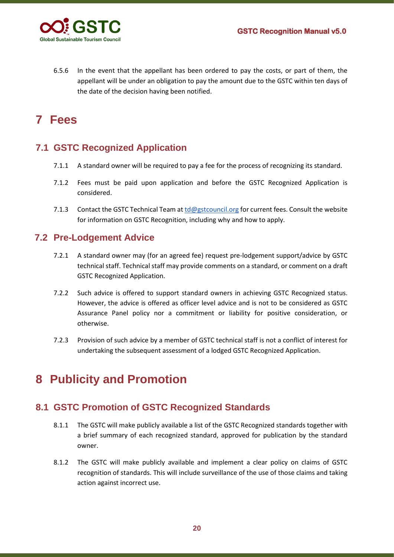

6.5.6 In the event that the appellant has been ordered to pay the costs, or part of them, the appellant will be under an obligation to pay the amount due to the GSTC within ten days of the date of the decision having been notified.

# <span id="page-19-0"></span>**7 Fees**

# <span id="page-19-1"></span>**7.1 GSTC Recognized Application**

- 7.1.1 A standard owner will be required to pay a fee for the process of recognizing its standard.
- 7.1.2 Fees must be paid upon application and before the GSTC Recognized Application is considered.
- 7.1.3 Contact the GSTC Technical Team at [td@gstcouncil.org](mailto:td@gstcouncil.org) for current fees. Consult the website for information on GSTC Recognition, including why and how to apply.

### <span id="page-19-2"></span>**7.2 Pre-Lodgement Advice**

- 7.2.1 A standard owner may (for an agreed fee) request pre-lodgement support/advice by GSTC technical staff. Technical staff may provide comments on a standard, or comment on a draft GSTC Recognized Application.
- 7.2.2 Such advice is offered to support standard owners in achieving GSTC Recognized status. However, the advice is offered as officer level advice and is not to be considered as GSTC Assurance Panel policy nor a commitment or liability for positive consideration, or otherwise.
- 7.2.3 Provision of such advice by a member of GSTC technical staff is not a conflict of interest for undertaking the subsequent assessment of a lodged GSTC Recognized Application.

# <span id="page-19-3"></span>**8 Publicity and Promotion**

### <span id="page-19-4"></span>**8.1 GSTC Promotion of GSTC Recognized Standards**

- 8.1.1 The GSTC will make publicly available a list of the GSTC Recognized standards together with a brief summary of each recognized standard, approved for publication by the standard owner.
- 8.1.2 The GSTC will make publicly available and implement a clear policy on claims of GSTC recognition of standards. This will include surveillance of the use of those claims and taking action against incorrect use.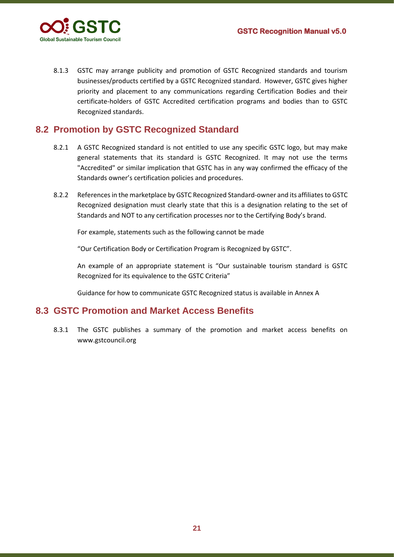

8.1.3 GSTC may arrange publicity and promotion of GSTC Recognized standards and tourism businesses/products certified by a GSTC Recognized standard. However, GSTC gives higher priority and placement to any communications regarding Certification Bodies and their certificate-holders of GSTC Accredited certification programs and bodies than to GSTC Recognized standards.

### <span id="page-20-0"></span>**8.2 Promotion by GSTC Recognized Standard**

- 8.2.1 A GSTC Recognized standard is not entitled to use any specific GSTC logo, but may make general statements that its standard is GSTC Recognized. It may not use the terms "Accredited" or similar implication that GSTC has in any way confirmed the efficacy of the Standards owner's certification policies and procedures.
- 8.2.2 References in the marketplace by GSTC Recognized Standard-owner and its affiliates to GSTC Recognized designation must clearly state that this is a designation relating to the set of Standards and NOT to any certification processes nor to the Certifying Body's brand.

For example, statements such as the following cannot be made

"Our Certification Body or Certification Program is Recognized by GSTC".

An example of an appropriate statement is "Our sustainable tourism standard is GSTC Recognized for its equivalence to the GSTC Criteria"

Guidance for how to communicate GSTC Recognized status is available in Annex A

#### <span id="page-20-1"></span>**8.3 GSTC Promotion and Market Access Benefits**

8.3.1 The GSTC publishes a summary of the promotion and market access benefits on www.gstcouncil.org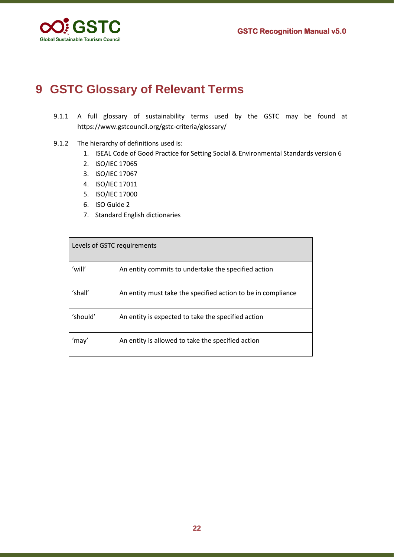

# <span id="page-21-0"></span>**9 GSTC Glossary of Relevant Terms**

- 9.1.1 A full glossary of sustainability terms used by the GSTC may be found at https://www.gstcouncil.org/gstc-criteria/glossary/
- 9.1.2 The hierarchy of definitions used is:
	- 1. ISEAL Code of Good Practice for Setting Social & Environmental Standards version 6
	- 2. ISO/IEC 17065
	- 3. ISO/IEC 17067
	- 4. ISO/IEC 17011
	- 5. ISO/IEC 17000
	- 6. ISO Guide 2
	- 7. Standard English dictionaries

| Levels of GSTC requirements |                                                              |  |
|-----------------------------|--------------------------------------------------------------|--|
| 'will'                      | An entity commits to undertake the specified action          |  |
| 'shall'                     | An entity must take the specified action to be in compliance |  |
| 'should'                    | An entity is expected to take the specified action           |  |
| 'mav'                       | An entity is allowed to take the specified action            |  |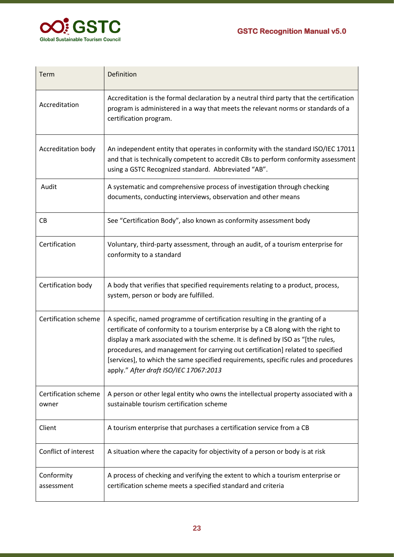

| Term                          | Definition                                                                                                                                                                                                                                                                                                                                                                                                                                                              |  |
|-------------------------------|-------------------------------------------------------------------------------------------------------------------------------------------------------------------------------------------------------------------------------------------------------------------------------------------------------------------------------------------------------------------------------------------------------------------------------------------------------------------------|--|
| Accreditation                 | Accreditation is the formal declaration by a neutral third party that the certification<br>program is administered in a way that meets the relevant norms or standards of a<br>certification program.                                                                                                                                                                                                                                                                   |  |
| Accreditation body            | An independent entity that operates in conformity with the standard ISO/IEC 17011<br>and that is technically competent to accredit CBs to perform conformity assessment<br>using a GSTC Recognized standard. Abbreviated "AB".                                                                                                                                                                                                                                          |  |
| Audit                         | A systematic and comprehensive process of investigation through checking<br>documents, conducting interviews, observation and other means                                                                                                                                                                                                                                                                                                                               |  |
| CB                            | See "Certification Body", also known as conformity assessment body                                                                                                                                                                                                                                                                                                                                                                                                      |  |
| Certification                 | Voluntary, third-party assessment, through an audit, of a tourism enterprise for<br>conformity to a standard                                                                                                                                                                                                                                                                                                                                                            |  |
| Certification body            | A body that verifies that specified requirements relating to a product, process,<br>system, person or body are fulfilled.                                                                                                                                                                                                                                                                                                                                               |  |
| Certification scheme          | A specific, named programme of certification resulting in the granting of a<br>certificate of conformity to a tourism enterprise by a CB along with the right to<br>display a mark associated with the scheme. It is defined by ISO as "[the rules,<br>procedures, and management for carrying out certification] related to specified<br>[services], to which the same specified requirements, specific rules and procedures<br>apply." After draft ISO/IEC 17067:2013 |  |
| Certification scheme<br>owner | A person or other legal entity who owns the intellectual property associated with a<br>sustainable tourism certification scheme                                                                                                                                                                                                                                                                                                                                         |  |
| Client                        | A tourism enterprise that purchases a certification service from a CB                                                                                                                                                                                                                                                                                                                                                                                                   |  |
| Conflict of interest          | A situation where the capacity for objectivity of a person or body is at risk                                                                                                                                                                                                                                                                                                                                                                                           |  |
| Conformity<br>assessment      | A process of checking and verifying the extent to which a tourism enterprise or<br>certification scheme meets a specified standard and criteria                                                                                                                                                                                                                                                                                                                         |  |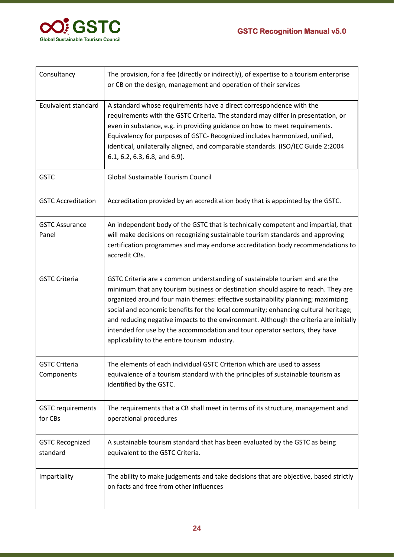

| Consultancy                         | The provision, for a fee (directly or indirectly), of expertise to a tourism enterprise<br>or CB on the design, management and operation of their services                                                                                                                                                                                                                                                                                                                                                                                                         |  |
|-------------------------------------|--------------------------------------------------------------------------------------------------------------------------------------------------------------------------------------------------------------------------------------------------------------------------------------------------------------------------------------------------------------------------------------------------------------------------------------------------------------------------------------------------------------------------------------------------------------------|--|
| Equivalent standard                 | A standard whose requirements have a direct correspondence with the<br>requirements with the GSTC Criteria. The standard may differ in presentation, or<br>even in substance, e.g. in providing guidance on how to meet requirements.<br>Equivalency for purposes of GSTC- Recognized includes harmonized, unified,<br>identical, unilaterally aligned, and comparable standards. (ISO/IEC Guide 2:2004<br>6.1, 6.2, 6.3, 6.8, and 6.9).                                                                                                                           |  |
| <b>GSTC</b>                         | Global Sustainable Tourism Council                                                                                                                                                                                                                                                                                                                                                                                                                                                                                                                                 |  |
| <b>GSTC Accreditation</b>           | Accreditation provided by an accreditation body that is appointed by the GSTC.                                                                                                                                                                                                                                                                                                                                                                                                                                                                                     |  |
| <b>GSTC Assurance</b><br>Panel      | An independent body of the GSTC that is technically competent and impartial, that<br>will make decisions on recognizing sustainable tourism standards and approving<br>certification programmes and may endorse accreditation body recommendations to<br>accredit CBs.                                                                                                                                                                                                                                                                                             |  |
| <b>GSTC Criteria</b>                | GSTC Criteria are a common understanding of sustainable tourism and are the<br>minimum that any tourism business or destination should aspire to reach. They are<br>organized around four main themes: effective sustainability planning; maximizing<br>social and economic benefits for the local community; enhancing cultural heritage;<br>and reducing negative impacts to the environment. Although the criteria are initially<br>intended for use by the accommodation and tour operator sectors, they have<br>applicability to the entire tourism industry. |  |
| <b>GSTC Criteria</b><br>Components  | The elements of each individual GSTC Criterion which are used to assess<br>equivalence of a tourism standard with the principles of sustainable tourism as<br>identified by the GSTC.                                                                                                                                                                                                                                                                                                                                                                              |  |
| <b>GSTC requirements</b><br>for CBs | The requirements that a CB shall meet in terms of its structure, management and<br>operational procedures                                                                                                                                                                                                                                                                                                                                                                                                                                                          |  |
| <b>GSTC Recognized</b><br>standard  | A sustainable tourism standard that has been evaluated by the GSTC as being<br>equivalent to the GSTC Criteria.                                                                                                                                                                                                                                                                                                                                                                                                                                                    |  |
| Impartiality                        | The ability to make judgements and take decisions that are objective, based strictly<br>on facts and free from other influences                                                                                                                                                                                                                                                                                                                                                                                                                                    |  |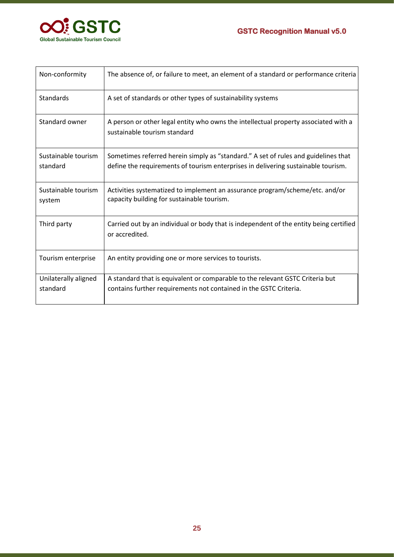

| Non-conformity                   | The absence of, or failure to meet, an element of a standard or performance criteria                                                                                    |  |
|----------------------------------|-------------------------------------------------------------------------------------------------------------------------------------------------------------------------|--|
| Standards                        | A set of standards or other types of sustainability systems                                                                                                             |  |
| Standard owner                   | A person or other legal entity who owns the intellectual property associated with a<br>sustainable tourism standard                                                     |  |
| Sustainable tourism<br>standard  | Sometimes referred herein simply as "standard." A set of rules and guidelines that<br>define the requirements of tourism enterprises in delivering sustainable tourism. |  |
| Sustainable tourism<br>system    | Activities systematized to implement an assurance program/scheme/etc. and/or<br>capacity building for sustainable tourism.                                              |  |
| Third party                      | Carried out by an individual or body that is independent of the entity being certified<br>or accredited.                                                                |  |
| Tourism enterprise               | An entity providing one or more services to tourists.                                                                                                                   |  |
| Unilaterally aligned<br>standard | A standard that is equivalent or comparable to the relevant GSTC Criteria but<br>contains further requirements not contained in the GSTC Criteria.                      |  |